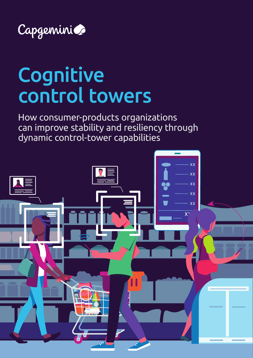

# Cognitive control towers

How consumer-products organizations can improve stability and resiliency through dynamic control-tower capabilities

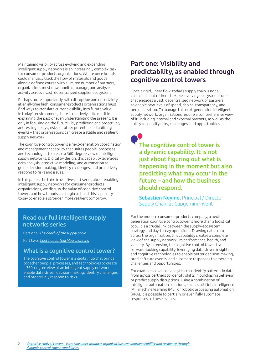Maintaining visibility across evolving and expanding intelligent supply networks is an increasingly complex task for consumer-products organizations. Where once brands could manually track the flow of materials and goods along a defined course with a limited number of partners, organizations must now monitor, manage, and analyze activity across a vast, decentralized supplier ecosystem.

Perhaps more importantly, with disruption and uncertainty at an all-time high, consumer-products organizations must find ways to translate current visibility into future value. In today's environment, there is relatively little merit in explaining the past or even understanding the present. It is only in focusing on the future – by predicting and proactively addressing delays, risks, or other potential destabilizing events – that organizations can create a stable and resilient supply network.

The cognitive control tower is a next-generation coordination and management capability that unites people, processes, and technologies to create a 360-degree view of intelligent supply networks. Digital by design, this capability leverages data analysis, predictive modeling, and automation to guide decision-making, identify challenges, and proactively respond to risks and issues.

In this paper, the third in our five-part series about enabling intelligent supply networks for consumer-products organizations, we discuss the value of cognitive control towers and how brands can begin to build this capability today to enable a stronger, more resilient tomorrow.

## Read our full intelligent supply networks series

Part one: *[The death of the supply chain](https://www.capgemini.com/wp-content/uploads/2019/12/Death-of-Supply-Chain-Capgemini-2.pdf)*

Part two: *[Continuous, touchless planning](https://www.capgemini.com/in-en/wp-content/uploads/sites/6/2020/05/Capgemini_Continuous-Touchless-Planning-4.pdf)*

#### What is a cognitive control tower?

The cognitive control tower is a digital hub that brings together people, processes, and technologies to create a 360-degree view of an intelligent supply network, enable data-driven decision-making, identify challenges, and proactively respond to risks.

# Part one: Visibility and predictability, as enabled through cognitive control towers

Once a rigid, linear flow, today's supply chain is not a chain at all but rather a flexible, evolving ecosystem – one that engages a vast, decentralized network of partners to enable new levels of speed, choice, transparency, and personalization. To manage this next-generation intelligent supply network, organizations require a comprehensive view of it, including internal and external partners, as well as the ability to identify risks, challenges, and opportunities.

The cognitive control tower is a dynamic capability. It is not just about figuring out what is happening in the moment but also predicting what may occur in the future – and how the business should respond.

Sebastien Neyme, Principal / Director Supply Chain at Capgemini Invent

For the modern consumer-products company, a nextgeneration cognitive control tower is more than a logistical tool. It is a crucial link between the supply-ecosystem strategy and day-to-day operations. Drawing data from across the organization, this capability creates a complete view of the supply network, its performance, health, and viability. By extension, the cognitive control tower is a forward-looking capability, leveraging data-driven insights and cognitive technologies to enable better decision-making, predict future events, and automate responses to emerging challenges and opportunities.

For example, advanced analytics can identify patterns in data from across partners to identify shifts in purchasing behavior or predict supply disruptions. Using a combination of intelligent automation solutions, such as artificial intelligence (AI), machine learning (ML), or robotic processing automation (RPA), it is possible to partially or even fully automate responses to these events.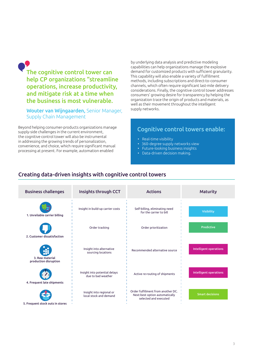The cognitive control tower can help CP organizations "streamline operations, increase productivity, and mitigate risk at a time when the business is most vulnerable.

Wouter van Wijngaarden, Senior Manager, Supply Chain Management

Beyond helping consumer-products organizations manage supply-side challenges in the current environment, the cognitive control tower will also be instrumental in addressing the growing trends of personalization, convenience, and choice, which require significant manual processing at present. For example, automation enabled

by underlying data analysis and predictive modeling capabilities can help organizations manage the explosive demand for customized products with sufficient granularity. This capability will also enable a variety of fulfillment methods, including subscriptions and direct-to-consumer channels, which often require significant last-mile delivery considerations. Finally, the cognitive control tower addresses consumers' growing desire for transparency by helping the organization trace the origin of products and materials, as well as their movement throughout the intelligent supply networks.

### Cognitive control towers enable:

- Real-time visibility
- 360-degree supply networks view
- Future-looking business insights
- Data-driven decision making.

### Creating data-driven insights with cognitive control towers

| <b>Business challenges</b>                    | Insights through CCT                                | <b>Actions</b>                                                                                | <b>Maturity</b>        |
|-----------------------------------------------|-----------------------------------------------------|-----------------------------------------------------------------------------------------------|------------------------|
| 1. Unreliable carrier billing                 | Insight in build-up carrier costs                   | Self-billing, eliminating need<br>for the carrier to bill                                     | <b>Visibility</b>      |
| 2. Customer dissatisfaction                   | Order tracking                                      | Order prioritization                                                                          | <b>Predictive</b>      |
| H<br>3. Raw material<br>production disruption | Insight into alternative<br>sourcing locations      | Recommended alternative source                                                                | Intelligent operations |
| 4. Frequent late shipments                    | Insight into potential delays<br>due to bad weather | Active re-routing of shipments                                                                | Intelligent operations |
| 5. Frequent stock outs in stores              | Insight into regional or<br>local stock and demand  | Order fulfillment from another DC.<br>Next-best option automatically<br>selected and executed | <b>Smart decisions</b> |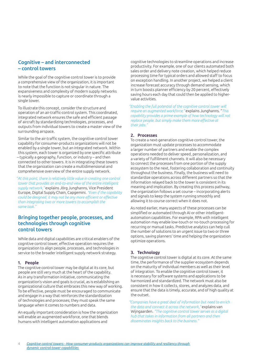#### Cognitive – and interconnected – control towers

While the goal of the cognitive control tower is to provide a comprehensive view of the organization, it is important to note that the function is not singular in nature. The expansiveness and complexity of modern supply networks is nearly impossible to capture or coordinate through a single tower.

To illustrate this concept, consider the structure and operation of an air-traffic-control system. This coordinated, integrated network ensures the safe and efficient passage of aircraft by standardizing technologies, processes, and outputs from individual towers to create a master view of the surrounding airspace.

Similar to the air-traffic system, the cognitive control tower capability for consumer-products organizations will not be enabled by a single tower, but an integrated network. Within this system, each tower is organized by one specific attribute – typically a geography, function, or industry – and then connected to other towers. It is in integrating these towers that the organization can create a multidimensional and comprehensive overview of the entire supply network.

"*At this point, there is relatively little value in creating one control tower that provides an end-to-end view of the entire intelligent supply network,"* explains Jörg Junghanns, Vice President Europe, Digital Supply Chain, Capgemini. *"Even if the capability could be designed, it may not be any more efficient or effective than integrating two or more towers to accomplish the same task."*

#### Bringing together people, processes, and technologies through cognitive control towers

While data and digital capabilities are critical enablers of the cognitive control tower, effective operation requires the organization to align people, processes, and technologies in service to the broader intelligent supply network strategy.

#### 1. People

The cognitive control tower may be digital at its core, but people are still very much at the heart of the capability. As in any transformation initiative, communicating the organization's vision and goals is crucial, as is establishing an organizational culture that embraces this new way of working. To be effective, people must be encouraged to communicate and engage in a way that reinforces the standardization of technologies and processes; they must speak the same language when it comes to numbers and data.

An equally important consideration is how the organization will enable an augmented workforce, one that blends humans with intelligent automation applications and

cognitive technologies to streamline operations and increase productivity. For example, one of our clients automated both sales order and delivery note creation, which helped reduce processing time for typical orders and allowed staff to focus on exception handling. In another project, we helped a client increase forecast accuracy through demand sensing, which in turn boosts planner efficiency by 20 percent, effectively saving hours each day that could then be applied to highervalue activities.

*"Enabling the full potential of the cognitive control tower will require an augmented workforce,"* explains Junghanns. "*This capability provides a prime example of how technology will not replace people, but simply make them more effective at their jobs."*

#### 2. Processes

To create a next-generation cognitive control tower, the organization must update processes to accommodate a larger number of partners and enable the complex operations needed to deliver speed, personalization, and a variety of fulfillment channels. It will also be necessary to connect the processes from one portion of the supply ecosystem to the next, fostering collaboration and continuity throughout the business. Finally, the business will need to standardize operations across different partners so that the information relayed back to the tower is consistent in its meaning and implication. By creating this process pathway, the organization follows a set course – incorporating alerts and signals to keep the system running smoothly and allowing it to course correct when it does not.

As noted earlier, many aspects of these processes can be simplified or automated through AI or other intelligentautomation capabilities. For example, RPA with intelligent automation may enable low-touch or no-touch processing for recurring or manual tasks. Predictive analytics can help cull the number of solutions to an urgent issue to two or three options, saving planners' time and helping the organization optimize operations.

#### 3. Technology

The cognitive control tower is digital at its core. At the same time, the performance of the supplier ecosystem depends on the maturity of individual members as well as their level of integration. To enable the cognitive control tower, it is necessary for software systems and applications to be harmonized and standardized. The network must also be consistent in how it collects, stores, and analyzes data, and ensure that the data is timely, accurate, and of high quality at the outset.

*"Companies have a great deal of information but need to enrich the data and connect it across the network,"* explains van Wijngaarden. *"The cognitive control tower serves as a digital hub that takes in information from all partners and then disseminates insights back to the business."*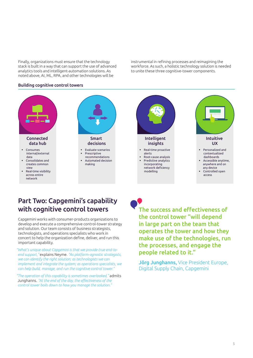Finally, organizations must ensure that the technology stack is built in a way that can support the use of advanced analytics tools and intelligent-automation solutions. As noted above, AI, ML, RPA, and other technologies will be

instrumental in refining processes and reimagining the workforce. As such, a holistic technology solution is needed to unite these three cognitive-tower components.

#### Building cognitive control towers



## Part Two: Capgemini's capability with cognitive control towers

Capgemini works with consumer-products organizations to develop and execute a comprehensive control-tower strategy and solution. Our team consists of business strategists, technologists, and operations specialists who work in concert to help the organization define, deliver, and run this important capability.

*"What's unique about Capgemini is that we provide true end-toend support,"* explains Neyme. *"As platform-agnostic strategists, we can identify the right solution; as technologists we can implement and integrate the system; as operations specialists, we can help build, manage, and run the cognitive control tower."*

*"The operation of this capability is sometimes overlooked,"* admits Junghanns. *"At the end of the day, the effectiveness of the control tower boils down to how you manage the solution."*

The success and effectiveness of the control tower "will depend in large part on the team that operates the tower and how they make use of the technologies, run the processes, and engage the people related to it."

Jörg Junghanns, Vice President Europe, Digital Supply Chain, Capgemini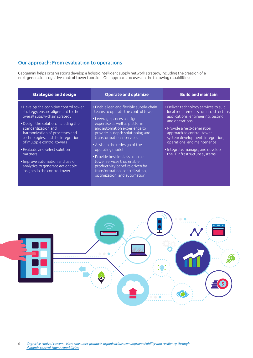#### Our approach: From evaluation to operations

Capgemini helps organizations develop a holistic intelligent supply network strategy, including the creation of a next-generation cognitive control-tower function. Our approach focuses on the following capabilities:

| <b>Strategize and design</b>                                                                                                                                                                                                                                                                                                                                                                                                          | <b>Operate and optimize</b>                                                                                                                                                                                                                                                                                                                                                                                                                                                | <b>Build and maintain</b>                                                                                                                                                                                                                                                                                                                    |
|---------------------------------------------------------------------------------------------------------------------------------------------------------------------------------------------------------------------------------------------------------------------------------------------------------------------------------------------------------------------------------------------------------------------------------------|----------------------------------------------------------------------------------------------------------------------------------------------------------------------------------------------------------------------------------------------------------------------------------------------------------------------------------------------------------------------------------------------------------------------------------------------------------------------------|----------------------------------------------------------------------------------------------------------------------------------------------------------------------------------------------------------------------------------------------------------------------------------------------------------------------------------------------|
| • Develop the cognitive control tower<br>strategy; ensure alignment to the<br>overall supply-chain strategy<br>• Design the solution, including the<br>standardization and<br>harmonization of processes and<br>technologies, and the integration<br>of multiple control towers<br>• Evaluate and select solution<br>partners<br>. Improve automation and use of<br>analytics to generate actionable<br>insights in the control tower | • Enable lean and flexible supply-chain<br>teams to operate the control tower<br>• Leverage process design<br>expertise as well as platform<br>and automation experience to<br>provide in-depth solutioning and<br>transformational services<br>• Assist in the redesign of the<br>operating model<br>• Provide best-in-class control-<br>tower services that enable<br>productivity benefits driven by<br>transformation, centralization,<br>optimization, and automation | • Deliver technology services to suit<br>local requirements for infrastructure,<br>applications, engineering, testing,<br>and operations<br>• Provide a next-generation<br>approach to control-tower<br>system development, integration,<br>operations, and maintenance<br>• Integrate, manage, and develop<br>the IT infrastructure systems |

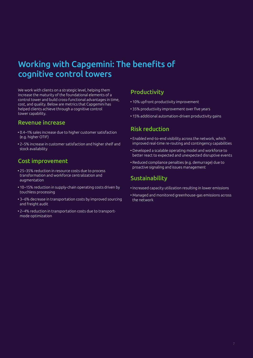# Working with Capgemini: The benefits of cognitive control towers

We work with clients on a strategic level, helping them increase the maturity of the foundational elements of a control tower and build cross-functional advantages in time, cost, and quality. Below are metrics that Capgemini has helped clients achieve through a cognitive control tower capability.

## Revenue increase

- 0.4–1% sales increase due to higher customer satisfaction (e.g. higher OTIF)
- 2–5% increase in customer satisfaction and higher shelf and stock availability

## Cost improvement

- 25–35% reduction in resource costs due to process transformation and workforce centralization and augmentation
- 10–15% reduction in supply-chain operating costs driven by touchless processing
- 3–6% decrease in transportation costs by improved sourcing and freight audit
- 2–4% reduction in transportation costs due to transport mode optimization

## **Productivity**

- 10% upfront productivity improvement
- 35% productivity improvement over five years
- 15% additional automation-driven productivity gains

## Risk reduction

- Enabled end-to-end visibility across the network, which improved real-time re-routing and contingency capabilities
- Developed a scalable operating model and workforce to better react to expected and unexpected disruptive events
- Reduced compliance penalties (e.g. demurrage) due to proactive signaling and issues management

## Sustainability

- Increased capacity utilization resulting in lower emissions
- Managed and monitored greenhouse-gas emissions across the network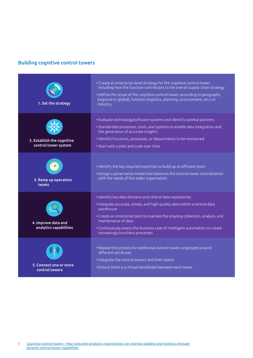## Building cognitive control towers

| 1. Set the strategy                                | • Create an enterprise-level strategy for the cognitive control tower,<br>including how the function contributes to the overall supply-chain strategy<br>• Define the scope of the cognitive control tower, according to geography<br>(regional or global), function (logistics, planning, procurement, etc.) or<br>industry                                                  |
|----------------------------------------------------|-------------------------------------------------------------------------------------------------------------------------------------------------------------------------------------------------------------------------------------------------------------------------------------------------------------------------------------------------------------------------------|
| 2. Establish the cognitive<br>control tower system | . Evaluate technology/software systems and identify optimal partners<br>• Standardize processes, tools, and systems to enable data integration and<br>the generation of accurate insights<br>· Identify functions, processes, or departments to be monitored<br>• Start with a pilot and scale over time                                                                      |
| 3. Ramp up operation<br><b>teams</b>               | · Identify the key required expertise to build up an efficient team<br>. Design a governance model that balances the control tower centralization<br>with the needs of the wider organization                                                                                                                                                                                 |
| 4. Improve data and<br>analytics capabilities      | · Identify key data domains and central data repositories<br>. Integrate accurate, timely, and high-quality data within a central data<br>warehouse<br>• Create an enterprise team to oversee the ongoing collection, analysis, and<br>maintenance of data<br>• Continuously assess the business case of intelligent automation to create<br>increasingly touchless processes |
| 5. Connect one or more<br>control towers           | • Repeat this process for additional control towers organized around<br>different attributes<br>• Integrate the control towers and their teams<br>• Ensure there is a virtual handshake between each tower                                                                                                                                                                    |

8 *Cognitive [control towers - How consumer-products organizations can improve stability and resiliency through](https://www.capgemini.com/service/consumer-products-and-retail/sequential-supply-chain-to-intelligent-supply-networks/)  [dynamic control-tower capabilities](https://www.capgemini.com/service/consumer-products-and-retail/sequential-supply-chain-to-intelligent-supply-networks/)*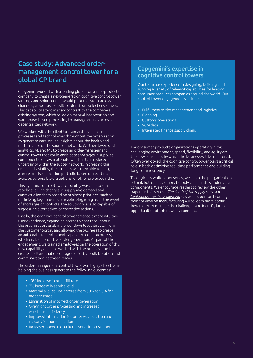# Case study: Advanced ordermanagement control tower for a global CP brand

Capgemini worked with a leading global consumer-products company to create a next-generation cognitive control tower strategy and solution that would prioritize stock across channels, as well as expedite orders from select customers. This capability stood in stark contrast to the company's existing system, which relied on manual intervention and warehouse-based processing to manage entries across a decentralized network.

We worked with the client to standardize and harmonize processes and technologies throughout the organization to generate data-driven insights about the health and performance of the supplier network. We then leveraged analytics, AI, and ML to create an order-management control tower that could anticipate shortages in supplies, components, or raw materials, which in turn reduced uncertainty within the supply network. In creating this enhanced visibility, the business was then able to design a more precise allocation portfolio based on real-time availability, possible disruptions, or other projected risks.

This dynamic control-tower capability was able to sense rapidly evolving changes in supply and demand and contextualize them based on business priorities, such as optimizing key accounts or maximizing margins. In the event of shortages or conflicts, the solution was also capable of suggesting alternatives or corrective actions.

Finally, the cognitive control tower created a more intuitive user experience, expanding access to data throughout the organization, enabling order downloads directly from the customer portal, and allowing the business to create an automatic replenishment capability based on orders, which enabled proactive order generation. As part of the engagement, we trained employees on the operation of this new capability and also worked with the organization to create a culture that encouraged effective collaboration and communication between teams.

The order-management control tower was highly effective in helping the business generate the following outcomes:

- 10% increase in order fill rate
- 7% increase in service level
- Material availability increase from 50% to 90% for modern trade
- Elimination of incorrect order generation
- Overnight order processing and increased warehouse efficiency
- Improved information for order vs. allocation and reasons for non-allocation
- Increased speed to market in servicing customers.

## Capgemini's expertise in cognitive control towers

Our team has experience in designing, building, and running a variety of relevant capabilities for leading consumer-products companies around the world. Our control-tower engagements include:

- Fulfillment/order management and logistics
- Planning
- Customs operations
- SCM data
- Integrated finance supply chain.

For consumer-products organizations operating in this challenging environment, speed, flexibility, and agility are the new currencies by which the business will be measured. Often overlooked, the cognitive control tower plays a critical role in both optimizing real-time performance and building long-term resiliency.

Through this whitepaper series, we aim to help organizations rethink both the traditional supply chain and its underlying components. We encourage readers to review the other papers in this series – *[The death of the supply chain](https://www.capgemini.com/wp-content/uploads/2019/12/Death-of-Supply-Chain-Capgemini-2.pdf)* and *[Continuous, touchless planning](https://www.capgemini.com/in-en/wp-content/uploads/sites/6/2020/05/Capgemini_Continuous-Touchless-Planning-4.pdf)* – as well as our forthcoming point of view on manufacturing 4.0 to learn more about how to better manage the challenges and identify latent opportunities of this new environment.